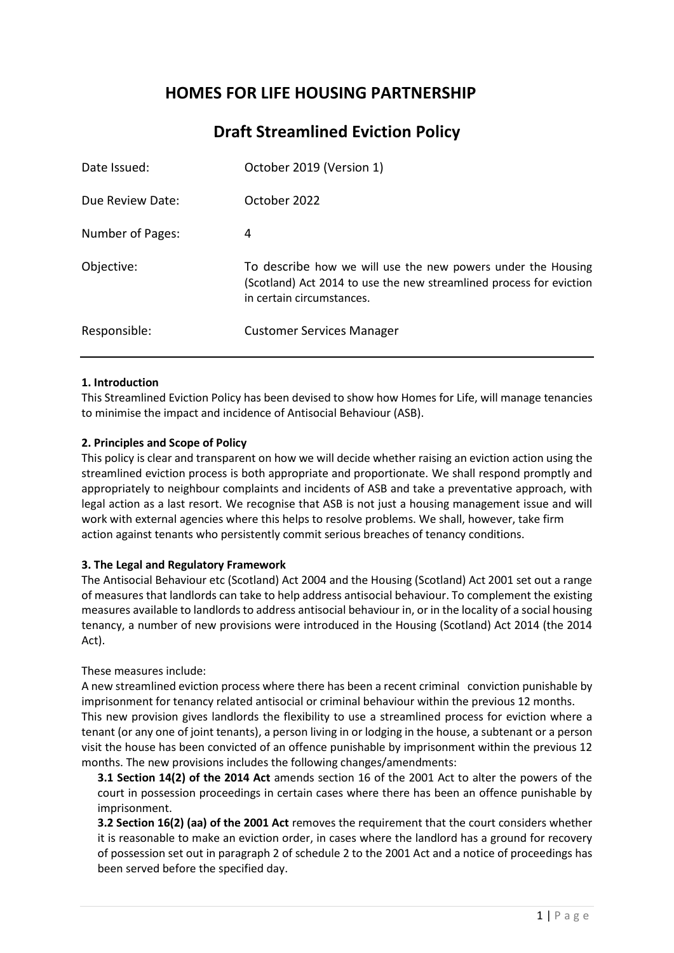# **HOMES FOR LIFE HOUSING PARTNERSHIP**

# **Draft Streamlined Eviction Policy**

| Date Issued:     | October 2019 (Version 1)                                                                                                                                         |
|------------------|------------------------------------------------------------------------------------------------------------------------------------------------------------------|
| Due Review Date: | October 2022                                                                                                                                                     |
| Number of Pages: | 4                                                                                                                                                                |
| Objective:       | To describe how we will use the new powers under the Housing<br>(Scotland) Act 2014 to use the new streamlined process for eviction<br>in certain circumstances. |
| Responsible:     | <b>Customer Services Manager</b>                                                                                                                                 |

# **1. Introduction**

This Streamlined Eviction Policy has been devised to show how Homes for Life, will manage tenancies to minimise the impact and incidence of Antisocial Behaviour (ASB).

# **2. Principles and Scope of Policy**

This policy is clear and transparent on how we will decide whether raising an eviction action using the streamlined eviction process is both appropriate and proportionate. We shall respond promptly and appropriately to neighbour complaints and incidents of ASB and take a preventative approach, with legal action as a last resort. We recognise that ASB is not just a housing management issue and will work with external agencies where this helps to resolve problems. We shall, however, take firm action against tenants who persistently commit serious breaches of tenancy conditions.

## **3. The Legal and Regulatory Framework**

The Antisocial Behaviour etc (Scotland) Act 2004 and the Housing (Scotland) Act 2001 set out a range of measures that landlords can take to help address antisocial behaviour. To complement the existing measures available to landlords to address antisocial behaviour in, or in the locality of a social housing tenancy, a number of new provisions were introduced in the Housing (Scotland) Act 2014 (the 2014 Act).

## These measures include:

A new streamlined eviction process where there has been a recent criminal conviction punishable by imprisonment for tenancy related antisocial or criminal behaviour within the previous 12 months. This new provision gives landlords the flexibility to use a streamlined process for eviction where a tenant (or any one of joint tenants), a person living in or lodging in the house, a subtenant or a person visit the house has been convicted of an offence punishable by imprisonment within the previous 12 months. The new provisions includes the following changes/amendments:

**3.1 Section 14(2) of the 2014 Act** amends section 16 of the 2001 Act to alter the powers of the court in possession proceedings in certain cases where there has been an offence punishable by imprisonment.

**3.2 Section 16(2) (aa) of the 2001 Act** removes the requirement that the court considers whether it is reasonable to make an eviction order, in cases where the landlord has a ground for recovery of possession set out in paragraph 2 of schedule 2 to the 2001 Act and a notice of proceedings has been served before the specified day.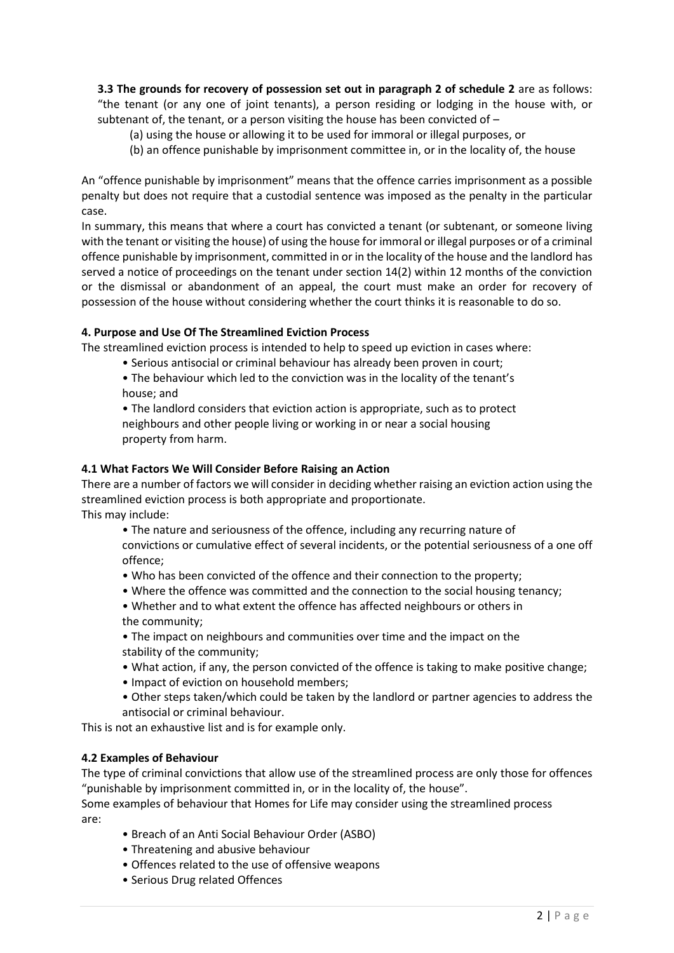**3.3 The grounds for recovery of possession set out in paragraph 2 of schedule 2** are as follows: "the tenant (or any one of joint tenants), a person residing or lodging in the house with, or subtenant of, the tenant, or a person visiting the house has been convicted of  $-$ 

(a) using the house or allowing it to be used for immoral or illegal purposes, or

(b) an offence punishable by imprisonment committee in, or in the locality of, the house

An "offence punishable by imprisonment" means that the offence carries imprisonment as a possible penalty but does not require that a custodial sentence was imposed as the penalty in the particular case.

In summary, this means that where a court has convicted a tenant (or subtenant, or someone living with the tenant or visiting the house) of using the house for immoral or illegal purposes or of a criminal offence punishable by imprisonment, committed in or in the locality of the house and the landlord has served a notice of proceedings on the tenant under section 14(2) within 12 months of the conviction or the dismissal or abandonment of an appeal, the court must make an order for recovery of possession of the house without considering whether the court thinks it is reasonable to do so.

# **4. Purpose and Use Of The Streamlined Eviction Process**

The streamlined eviction process is intended to help to speed up eviction in cases where:

- Serious antisocial or criminal behaviour has already been proven in court;
- The behaviour which led to the conviction was in the locality of the tenant's house; and

• The landlord considers that eviction action is appropriate, such as to protect neighbours and other people living or working in or near a social housing property from harm.

# **4.1 What Factors We Will Consider Before Raising an Action**

There are a number of factors we will consider in deciding whether raising an eviction action using the streamlined eviction process is both appropriate and proportionate. This may include:

• The nature and seriousness of the offence, including any recurring nature of convictions or cumulative effect of several incidents, or the potential seriousness of a one off offence;

- Who has been convicted of the offence and their connection to the property;
- Where the offence was committed and the connection to the social housing tenancy;
- Whether and to what extent the offence has affected neighbours or others in the community;

• The impact on neighbours and communities over time and the impact on the stability of the community;

- What action, if any, the person convicted of the offence is taking to make positive change;
- Impact of eviction on household members;
- Other steps taken/which could be taken by the landlord or partner agencies to address the antisocial or criminal behaviour.

This is not an exhaustive list and is for example only.

## **4.2 Examples of Behaviour**

The type of criminal convictions that allow use of the streamlined process are only those for offences "punishable by imprisonment committed in, or in the locality of, the house".

Some examples of behaviour that Homes for Life may consider using the streamlined process are:

- Breach of an Anti Social Behaviour Order (ASBO)
- Threatening and abusive behaviour
- Offences related to the use of offensive weapons
- Serious Drug related Offences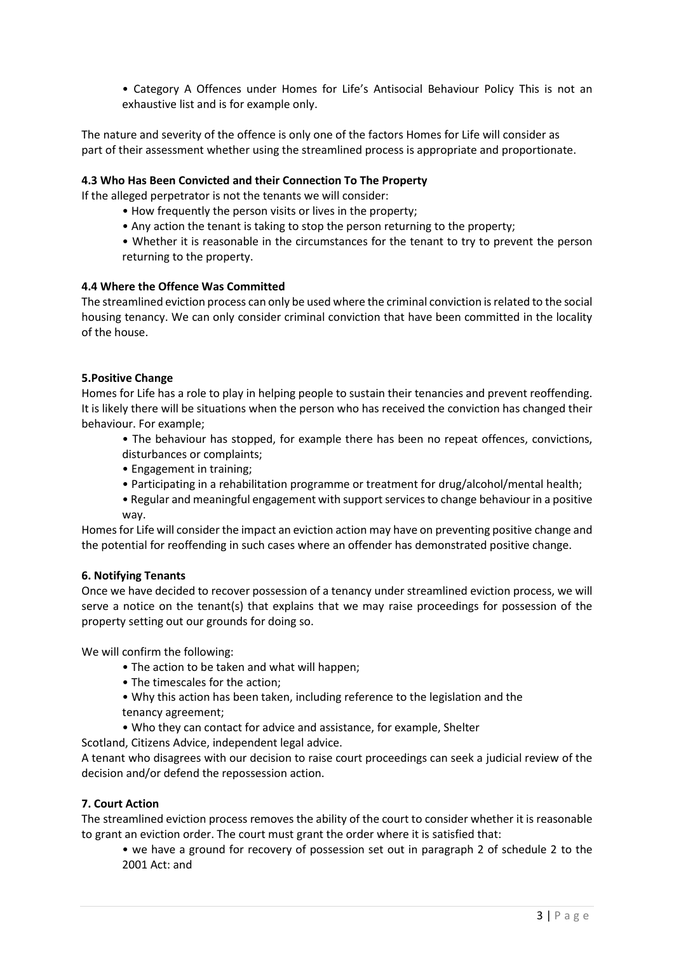• Category A Offences under Homes for Life's Antisocial Behaviour Policy This is not an exhaustive list and is for example only.

The nature and severity of the offence is only one of the factors Homes for Life will consider as part of their assessment whether using the streamlined process is appropriate and proportionate.

## **4.3 Who Has Been Convicted and their Connection To The Property**

If the alleged perpetrator is not the tenants we will consider:

- How frequently the person visits or lives in the property;
- Any action the tenant is taking to stop the person returning to the property;
- Whether it is reasonable in the circumstances for the tenant to try to prevent the person returning to the property.

## **4.4 Where the Offence Was Committed**

The streamlined eviction process can only be used where the criminal conviction is related to the social housing tenancy. We can only consider criminal conviction that have been committed in the locality of the house.

## **5.Positive Change**

Homes for Life has a role to play in helping people to sustain their tenancies and prevent reoffending. It is likely there will be situations when the person who has received the conviction has changed their behaviour. For example;

- The behaviour has stopped, for example there has been no repeat offences, convictions, disturbances or complaints;
- Engagement in training;
- Participating in a rehabilitation programme or treatment for drug/alcohol/mental health;
- Regular and meaningful engagement with support services to change behaviour in a positive way.

Homes for Life will consider the impact an eviction action may have on preventing positive change and the potential for reoffending in such cases where an offender has demonstrated positive change.

## **6. Notifying Tenants**

Once we have decided to recover possession of a tenancy under streamlined eviction process, we will serve a notice on the tenant(s) that explains that we may raise proceedings for possession of the property setting out our grounds for doing so.

We will confirm the following:

- The action to be taken and what will happen;
- The timescales for the action;
- Why this action has been taken, including reference to the legislation and the
- tenancy agreement;
- Who they can contact for advice and assistance, for example, Shelter

Scotland, Citizens Advice, independent legal advice.

A tenant who disagrees with our decision to raise court proceedings can seek a judicial review of the decision and/or defend the repossession action.

## **7. Court Action**

The streamlined eviction process removes the ability of the court to consider whether it is reasonable to grant an eviction order. The court must grant the order where it is satisfied that:

• we have a ground for recovery of possession set out in paragraph 2 of schedule 2 to the 2001 Act: and